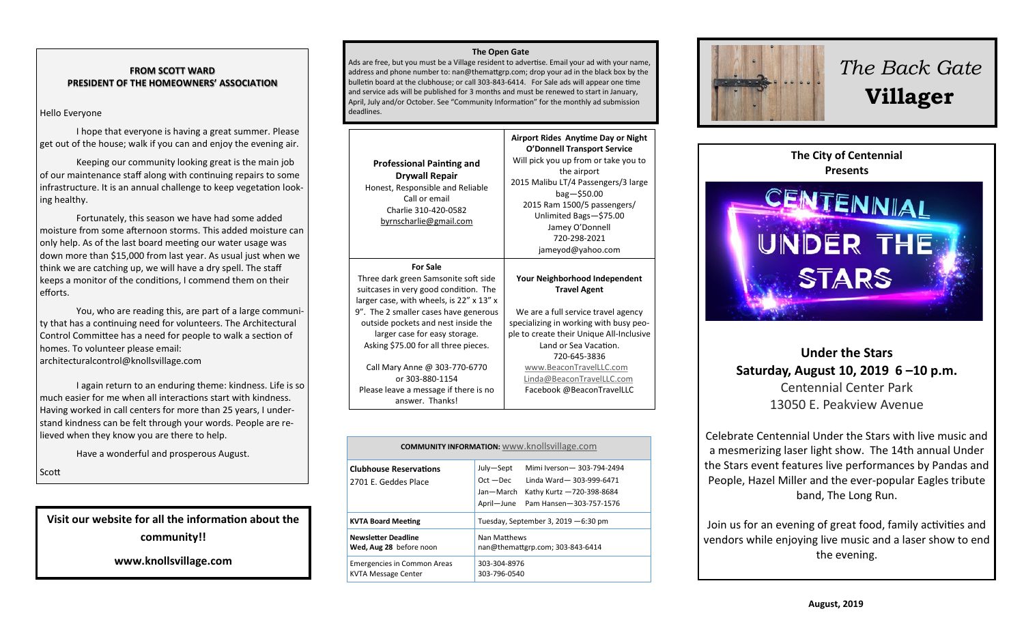#### **FROM SCOTT WARD PRESIDENT OF THE HOMEOWNERS' ASSOCIATION**

#### Hello Everyone

I hope that everyone is having a great summer. Please get out of the house; walk if you can and enjoy the evening air.

Keeping our community looking great is the main job of our maintenance staff along with continuing repairs to some infrastructure. It is an annual challenge to keep vegetation looking healthy.

Fortunately, this season we have had some added moisture from some afternoon storms. This added moisture can only help. As of the last board meeting our water usage was down more than \$15,000 from last year. As usual just when we think we are catching up, we will have a dry spell. The staff keeps a monitor of the conditions, I commend them on their efforts.

You, who are reading this, are part of a large community that has a continuing need for volunteers. The Architectural Control Committee has a need for people to walk a section of homes. To volunteer please email: architecturalcontrol@knollsvillage.com

I again return to an enduring theme: kindness. Life is so much easier for me when all interactions start with kindness. Having worked in call centers for more than 25 years, I understand kindness can be felt through your words. People are relieved when they know you are there to help.

Have a wonderful and prosperous August.

Scott

# **Visit our website for all the information about the community!!**

**www.knollsvillage.com**

#### **The Open Gate**

Ads are free, but you must be a Village resident to advertise. Email your ad with your name, address and phone number to: nan@themattgrp.com; drop your ad in the black box by the bulletin board at the clubhouse; or call 303-843-6414. For Sale ads will appear one time and service ads will be published for 3 months and must be renewed to start in January, April, July and/or October. See "Community Information" for the monthly ad submission deadlines.

| <b>Professional Painting and</b><br><b>Drywall Repair</b><br>Honest, Responsible and Reliable<br>Call or email<br>Charlie 310-420-0582<br>byrnscharlie@gmail.com                                                                                                                                                                                                                                   | Airport Rides Anytime Day or Night<br><b>O'Donnell Transport Service</b><br>Will pick you up from or take you to<br>the airport<br>2015 Malibu LT/4 Passengers/3 large<br>$bag - $50.00$<br>2015 Ram 1500/5 passengers/<br>Unlimited Bags-\$75.00<br>Jamey O'Donnell<br>720-298-2021<br>jameyod@yahoo.com       |
|----------------------------------------------------------------------------------------------------------------------------------------------------------------------------------------------------------------------------------------------------------------------------------------------------------------------------------------------------------------------------------------------------|-----------------------------------------------------------------------------------------------------------------------------------------------------------------------------------------------------------------------------------------------------------------------------------------------------------------|
| <b>For Sale</b><br>Three dark green Samsonite soft side<br>suitcases in very good condition. The<br>larger case, with wheels, is 22" x 13" x<br>9". The 2 smaller cases have generous<br>outside pockets and nest inside the<br>larger case for easy storage.<br>Asking \$75.00 for all three pieces.<br>Call Mary Anne @ 303-770-6770<br>or 303-880-1154<br>Please leave a message if there is no | Your Neighborhood Independent<br><b>Travel Agent</b><br>We are a full service travel agency<br>specializing in working with busy peo-<br>ple to create their Unique All-Inclusive<br>Land or Sea Vacation.<br>720-645-3836<br>www.BeaconTravelLLC.com<br>Linda@BeaconTravelLLC.com<br>Facebook @BeaconTravelLLC |

| <b>COMMUNITY INFORMATION:</b> www.knollsvillage.com |                                                                  |                                                                                                                                                                     |
|-----------------------------------------------------|------------------------------------------------------------------|---------------------------------------------------------------------------------------------------------------------------------------------------------------------|
|                                                     | <b>Clubhouse Reservations</b><br>2701 E. Geddes Place            | Mimi Iverson-303-794-2494<br>July-Sept<br>$Oct - Dec$<br>Linda Ward-303-999-6471<br>Jan-March<br>Kathy Kurtz -720-398-8684<br>April-June<br>Pam Hansen-303-757-1576 |
|                                                     | <b>KVTA Board Meeting</b>                                        | Tuesday, September 3, 2019 - 6:30 pm                                                                                                                                |
|                                                     | <b>Newsletter Deadline</b><br>Wed, Aug 28 before noon            | Nan Matthews<br>nan@themattgrp.com; 303-843-6414                                                                                                                    |
|                                                     | <b>Emergencies in Common Areas</b><br><b>KVTA Message Center</b> | 303-304-8976<br>303-796-0540                                                                                                                                        |



# *The Back Gate*  **Villager**



# **Under the Stars Saturday, August 10, 2019 6 –10 p.m.** Centennial Center Park 13050 E. Peakview Avenue

Celebrate Centennial Under the Stars with live music and a mesmerizing laser light show. The 14th annual Under the Stars event features live performances by Pandas and People, Hazel Miller and the ever-popular Eagles tribute band, The Long Run.

Join us for an evening of great food, family activities and vendors while enjoying live music and a laser show to end the evening.